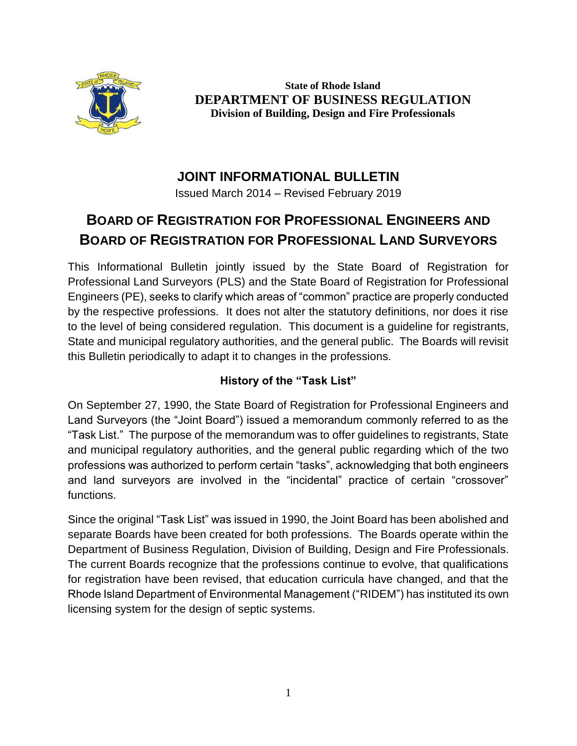

**State of Rhode Island DEPARTMENT OF BUSINESS REGULATION Division of Building, Design and Fire Professionals**

## **JOINT INFORMATIONAL BULLETIN**

Issued March 2014 – Revised February 2019

# **BOARD OF REGISTRATION FOR PROFESSIONAL ENGINEERS AND BOARD OF REGISTRATION FOR PROFESSIONAL LAND SURVEYORS**

This Informational Bulletin jointly issued by the State Board of Registration for Professional Land Surveyors (PLS) and the State Board of Registration for Professional Engineers (PE), seeks to clarify which areas of "common" practice are properly conducted by the respective professions. It does not alter the statutory definitions, nor does it rise to the level of being considered regulation. This document is a guideline for registrants, State and municipal regulatory authorities, and the general public. The Boards will revisit this Bulletin periodically to adapt it to changes in the professions.

### **History of the "Task List"**

On September 27, 1990, the State Board of Registration for Professional Engineers and Land Surveyors (the "Joint Board") issued a memorandum commonly referred to as the "Task List." The purpose of the memorandum was to offer guidelines to registrants, State and municipal regulatory authorities, and the general public regarding which of the two professions was authorized to perform certain "tasks", acknowledging that both engineers and land surveyors are involved in the "incidental" practice of certain "crossover" functions.

Since the original "Task List" was issued in 1990, the Joint Board has been abolished and separate Boards have been created for both professions. The Boards operate within the Department of Business Regulation, Division of Building, Design and Fire Professionals. The current Boards recognize that the professions continue to evolve, that qualifications for registration have been revised, that education curricula have changed, and that the Rhode Island Department of Environmental Management ("RIDEM") has instituted its own licensing system for the design of septic systems.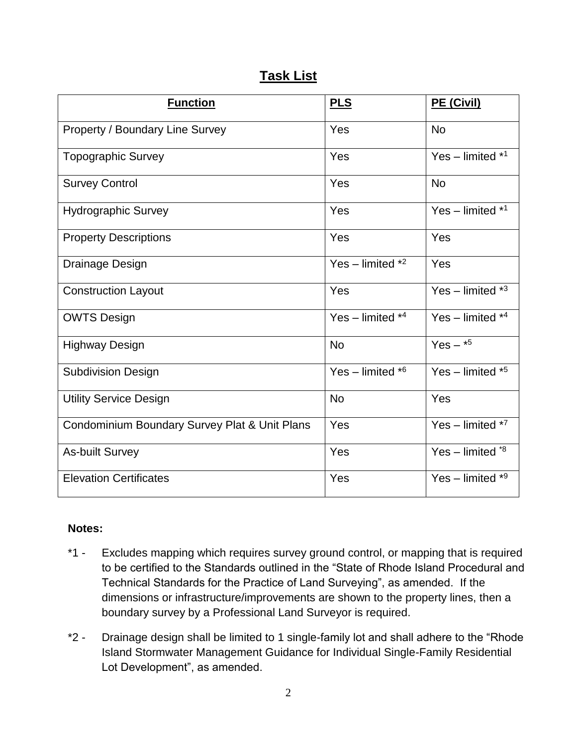## **Task List**

| <b>Function</b>                               | <b>PLS</b>          | PE (Civil)          |
|-----------------------------------------------|---------------------|---------------------|
| Property / Boundary Line Survey               | Yes                 | <b>No</b>           |
| <b>Topographic Survey</b>                     | Yes                 | Yes – limited $*1$  |
| <b>Survey Control</b>                         | Yes                 | <b>No</b>           |
| <b>Hydrographic Survey</b>                    | Yes                 | Yes – limited $*1$  |
| <b>Property Descriptions</b>                  | Yes                 | Yes                 |
| Drainage Design                               | Yes – limited $*^2$ | Yes                 |
| <b>Construction Layout</b>                    | Yes                 | Yes – limited $*3$  |
| <b>OWTS Design</b>                            | Yes - limited $*4$  | Yes – limited $*4$  |
| <b>Highway Design</b>                         | <b>No</b>           | Yes $ *5$           |
| <b>Subdivision Design</b>                     | Yes – limited $*6$  | Yes - limited $*5$  |
| <b>Utility Service Design</b>                 | <b>No</b>           | Yes                 |
| Condominium Boundary Survey Plat & Unit Plans | Yes                 | Yes – limited $*^7$ |
| <b>As-built Survey</b>                        | Yes                 | Yes – limited $*8$  |
| <b>Elevation Certificates</b>                 | Yes                 | Yes – limited $*9$  |

#### **Notes:**

- \*1 Excludes mapping which requires survey ground control, or mapping that is required to be certified to the Standards outlined in the "State of Rhode Island Procedural and Technical Standards for the Practice of Land Surveying", as amended. If the dimensions or infrastructure/improvements are shown to the property lines, then a boundary survey by a Professional Land Surveyor is required.
- \*2 Drainage design shall be limited to 1 single-family lot and shall adhere to the "Rhode Island Stormwater Management Guidance for Individual Single-Family Residential Lot Development", as amended.